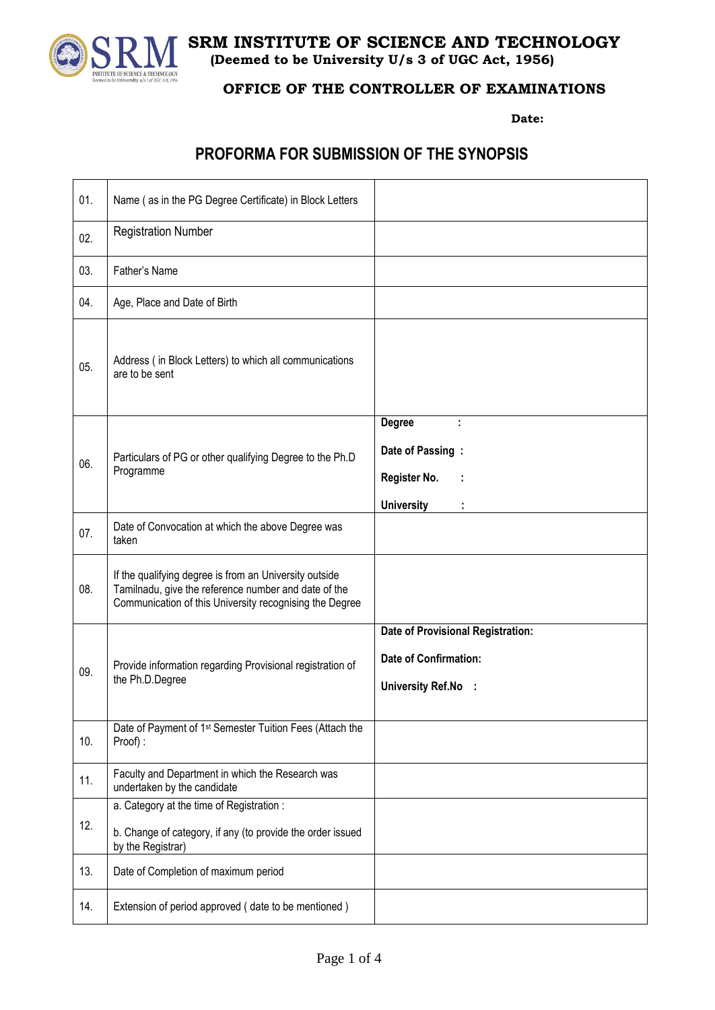

**SRM INSTITUTE OF SCIENCE AND TECHNOLOGY (Deemed to be University U/s 3 of UGC Act, 1956)**

## **OFFICE OF THE CONTROLLER OF EXAMINATIONS**

**Date:** 

## **PROFORMA FOR SUBMISSION OF THE SYNOPSIS**

| 01. | Name (as in the PG Degree Certificate) in Block Letters                                                                                                                   |                                                                                          |
|-----|---------------------------------------------------------------------------------------------------------------------------------------------------------------------------|------------------------------------------------------------------------------------------|
| 02. | <b>Registration Number</b>                                                                                                                                                |                                                                                          |
| 03. | Father's Name                                                                                                                                                             |                                                                                          |
| 04. | Age, Place and Date of Birth                                                                                                                                              |                                                                                          |
| 05. | Address (in Block Letters) to which all communications<br>are to be sent                                                                                                  |                                                                                          |
| 06. | Particulars of PG or other qualifying Degree to the Ph.D<br>Programme                                                                                                     | <b>Degree</b><br>÷<br>Date of Passing:<br>Register No.<br><b>University</b>              |
| 07. | Date of Convocation at which the above Degree was<br>taken                                                                                                                |                                                                                          |
| 08. | If the qualifying degree is from an University outside<br>Tamilnadu, give the reference number and date of the<br>Communication of this University recognising the Degree |                                                                                          |
| 09. | Provide information regarding Provisional registration of<br>the Ph.D.Degree                                                                                              | Date of Provisional Registration:<br><b>Date of Confirmation:</b><br>University Ref.No : |
| 10. | Date of Payment of 1 <sup>st</sup> Semester Tuition Fees (Attach the<br>Proof):                                                                                           |                                                                                          |
| 11. | Faculty and Department in which the Research was<br>undertaken by the candidate                                                                                           |                                                                                          |
| 12. | a. Category at the time of Registration :<br>b. Change of category, if any (to provide the order issued<br>by the Registrar)                                              |                                                                                          |
| 13. | Date of Completion of maximum period                                                                                                                                      |                                                                                          |
| 14. | Extension of period approved (date to be mentioned)                                                                                                                       |                                                                                          |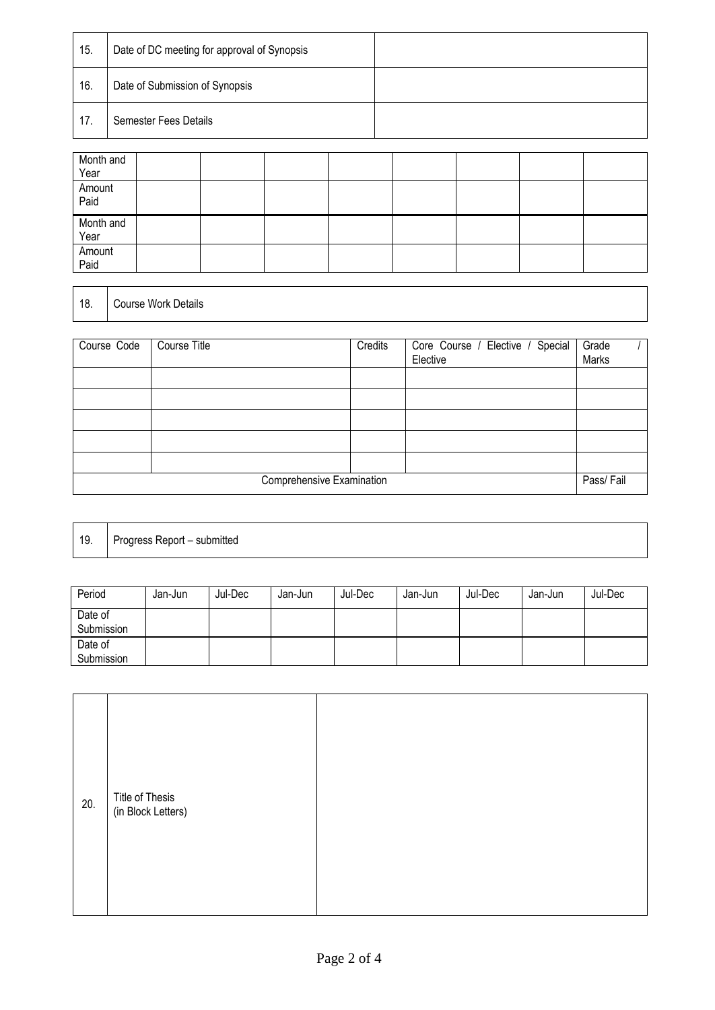| 15. | Date of DC meeting for approval of Synopsis |  |
|-----|---------------------------------------------|--|
| 16. | Date of Submission of Synopsis              |  |
| 17. | Semester Fees Details                       |  |

| Month and<br>Year |  |  |  |  |
|-------------------|--|--|--|--|
| Amount<br>Paid    |  |  |  |  |
| Month and<br>Year |  |  |  |  |
| Amount<br>Paid    |  |  |  |  |

## 18. Course Work Details

| Course Code                            | Course Title | Credits | Core Course / Elective / Special<br>Elective | Grade<br>Marks |  |
|----------------------------------------|--------------|---------|----------------------------------------------|----------------|--|
|                                        |              |         |                                              |                |  |
|                                        |              |         |                                              |                |  |
|                                        |              |         |                                              |                |  |
|                                        |              |         |                                              |                |  |
|                                        |              |         |                                              |                |  |
| Comprehensive Examination<br>Pass/Fail |              |         |                                              |                |  |

19. Progress Report – submitted

| Period                | Jan-Jun | Jul-Dec | Jan-Jun | Jul-Dec | Jan-Jun | Jul-Dec | Jan-Jun | Jul-Dec |
|-----------------------|---------|---------|---------|---------|---------|---------|---------|---------|
| Date of<br>Submission |         |         |         |         |         |         |         |         |
| Date of<br>Submission |         |         |         |         |         |         |         |         |

| Title of Thesis<br>(in Block Letters)<br>20. |
|----------------------------------------------|
|----------------------------------------------|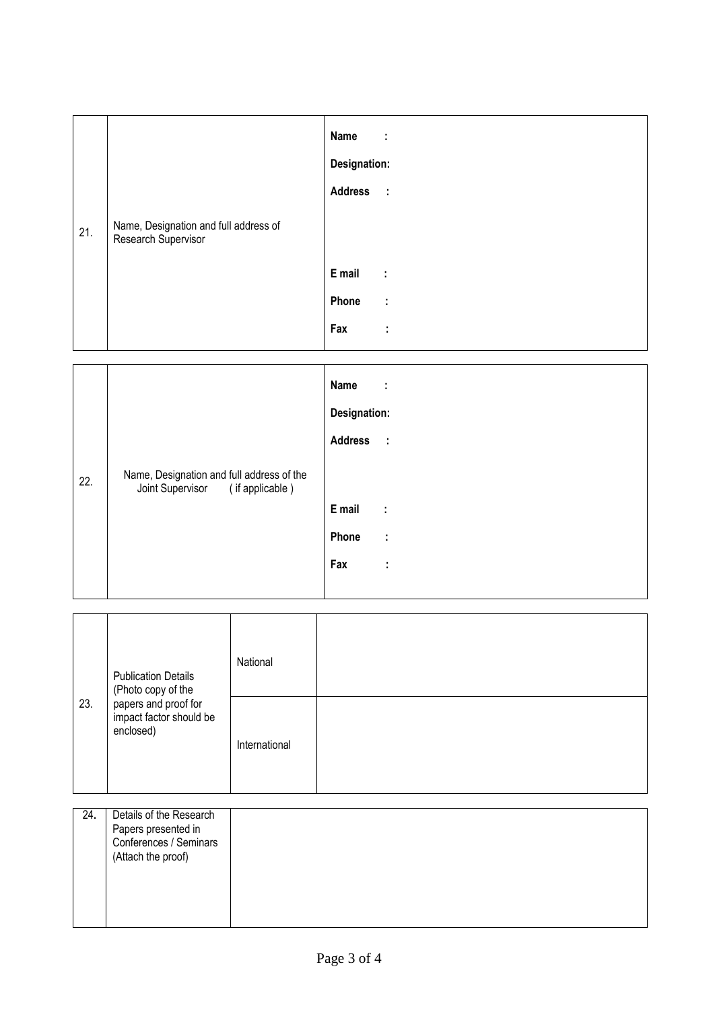|     |                                                              | Name<br>÷          |
|-----|--------------------------------------------------------------|--------------------|
|     |                                                              | Designation:       |
|     |                                                              | Address :          |
| 21. | Name, Designation and full address of<br>Research Supervisor |                    |
|     |                                                              | E mail<br>$\sim 1$ |
|     |                                                              | Phone<br>$\sim$ 1  |
|     |                                                              | Fax<br>÷           |

|     |                                                                               | Name<br>÷           |
|-----|-------------------------------------------------------------------------------|---------------------|
|     |                                                                               | Designation:        |
|     |                                                                               | Address :           |
| 22. | Name, Designation and full address of the<br>Joint Supervisor (if applicable) |                     |
|     |                                                                               | E mail<br>$\sim$ 1. |
|     |                                                                               | Phone<br>÷          |
|     |                                                                               | Fax<br>÷            |
|     |                                                                               |                     |

|     | <b>Publication Details</b><br>(Photo copy of the             | National      |  |
|-----|--------------------------------------------------------------|---------------|--|
| 23. | papers and proof for<br>impact factor should be<br>enclosed) | International |  |

| 24. | Details of the Research<br>Papers presented in<br>Conferences / Seminars<br>(Attach the proof) |  |  |
|-----|------------------------------------------------------------------------------------------------|--|--|
|     |                                                                                                |  |  |